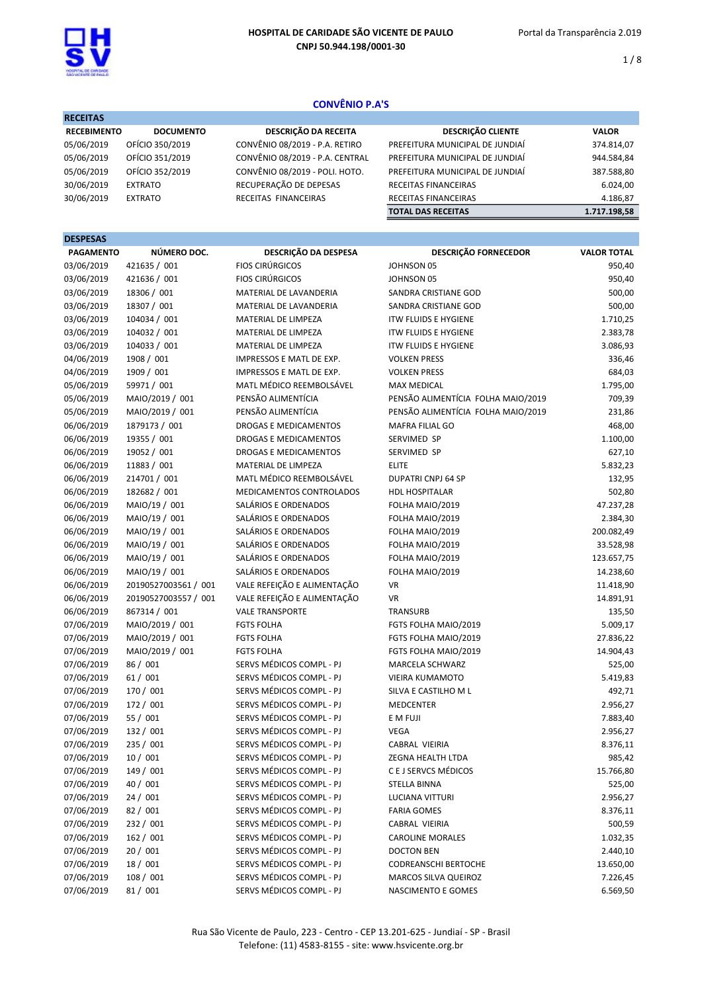

 $1/8$ 

# CONVÊNIO P.A'S

| <b>RECEITAS</b>    |                  |                                 |                                 |              |
|--------------------|------------------|---------------------------------|---------------------------------|--------------|
| <b>RECEBIMENTO</b> | <b>DOCUMENTO</b> | DESCRIÇÃO DA RECEITA            | <b>DESCRIÇÃO CLIENTE</b>        | <b>VALOR</b> |
| 05/06/2019         | OFÍCIO 350/2019  | CONVÊNIO 08/2019 - P.A. RETIRO  | PREFEITURA MUNICIPAL DE JUNDIAÍ | 374.814,07   |
| 05/06/2019         | OFÍCIO 351/2019  | CONVÊNIO 08/2019 - P.A. CENTRAL | PREFEITURA MUNICIPAL DE JUNDIAÍ | 944.584,84   |
| 05/06/2019         | OFÍCIO 352/2019  | CONVÊNIO 08/2019 - POLI. HOTO.  | PREFEITURA MUNICIPAL DE JUNDIAÍ | 387.588,80   |
| 30/06/2019         | <b>EXTRATO</b>   | RECUPERAÇÃO DE DEPESAS          | RECEITAS FINANCEIRAS            | 6.024,00     |
| 30/06/2019         | <b>EXTRATO</b>   | RECEITAS FINANCEIRAS            | <b>RECEITAS FINANCEIRAS</b>     | 4.186,87     |
|                    |                  |                                 | <b>TOTAL DAS RECEITAS</b>       | 1.717.198.58 |

| <b>DESPESAS</b>  |                      |                             |                                    |                    |
|------------------|----------------------|-----------------------------|------------------------------------|--------------------|
| <b>PAGAMENTO</b> | NÚMERO DOC.          | DESCRIÇÃO DA DESPESA        | DESCRIÇÃO FORNECEDOR               | <b>VALOR TOTAL</b> |
| 03/06/2019       | 421635 / 001         | <b>FIOS CIRÚRGICOS</b>      | JOHNSON 05                         | 950,40             |
| 03/06/2019       | 421636 / 001         | <b>FIOS CIRÚRGICOS</b>      | JOHNSON 05                         | 950,40             |
| 03/06/2019       | 18306 / 001          | MATERIAL DE LAVANDERIA      | SANDRA CRISTIANE GOD               | 500,00             |
| 03/06/2019       | 18307 / 001          | MATERIAL DE LAVANDERIA      | SANDRA CRISTIANE GOD               | 500,00             |
| 03/06/2019       | 104034 / 001         | MATERIAL DE LIMPEZA         | <b>ITW FLUIDS E HYGIENE</b>        | 1.710,25           |
| 03/06/2019       | 104032 / 001         | MATERIAL DE LIMPEZA         | <b>ITW FLUIDS E HYGIENE</b>        | 2.383,78           |
| 03/06/2019       | 104033 / 001         | MATERIAL DE LIMPEZA         | <b>ITW FLUIDS E HYGIENE</b>        | 3.086,93           |
| 04/06/2019       | 1908 / 001           | IMPRESSOS E MATL DE EXP.    | <b>VOLKEN PRESS</b>                | 336,46             |
| 04/06/2019       | 1909 / 001           | IMPRESSOS E MATL DE EXP.    | <b>VOLKEN PRESS</b>                | 684,03             |
| 05/06/2019       | 59971 / 001          | MATL MÉDICO REEMBOLSÁVEL    | <b>MAX MEDICAL</b>                 | 1.795,00           |
| 05/06/2019       | MAIO/2019 / 001      | PENSÃO ALIMENTÍCIA          | PENSÃO ALIMENTÍCIA FOLHA MAIO/2019 | 709,39             |
| 05/06/2019       | MAIO/2019 / 001      | PENSÃO ALIMENTÍCIA          | PENSÃO ALIMENTÍCIA FOLHA MAIO/2019 | 231,86             |
| 06/06/2019       | 1879173 / 001        | DROGAS E MEDICAMENTOS       | <b>MAFRA FILIAL GO</b>             | 468,00             |
| 06/06/2019       | 19355 / 001          | DROGAS E MEDICAMENTOS       | SERVIMED SP                        | 1.100,00           |
| 06/06/2019       | 19052 / 001          | DROGAS E MEDICAMENTOS       | SERVIMED SP                        | 627,10             |
| 06/06/2019       | 11883 / 001          | MATERIAL DE LIMPEZA         | <b>ELITE</b>                       | 5.832,23           |
| 06/06/2019       | 214701 / 001         | MATL MÉDICO REEMBOLSÁVEL    | <b>DUPATRI CNPJ 64 SP</b>          | 132,95             |
| 06/06/2019       | 182682 / 001         | MEDICAMENTOS CONTROLADOS    | HDL HOSPITALAR                     | 502,80             |
| 06/06/2019       | MAIO/19 / 001        | SALÁRIOS E ORDENADOS        | FOLHA MAIO/2019                    | 47.237,28          |
| 06/06/2019       | MAIO/19 / 001        | SALÁRIOS E ORDENADOS        | FOLHA MAIO/2019                    | 2.384,30           |
| 06/06/2019       | MAIO/19 / 001        | SALÁRIOS E ORDENADOS        | FOLHA MAIO/2019                    | 200.082,49         |
| 06/06/2019       | MAIO/19 / 001        | SALÁRIOS E ORDENADOS        | FOLHA MAIO/2019                    | 33.528,98          |
| 06/06/2019       | MAIO/19 / 001        | SALÁRIOS E ORDENADOS        | FOLHA MAIO/2019                    | 123.657,75         |
| 06/06/2019       | MAIO/19 / 001        | SALÁRIOS E ORDENADOS        | FOLHA MAIO/2019                    | 14.238,60          |
| 06/06/2019       | 20190527003561 / 001 | VALE REFEIÇÃO E ALIMENTAÇÃO | VR                                 | 11.418,90          |
| 06/06/2019       | 20190527003557 / 001 | VALE REFEIÇÃO E ALIMENTAÇÃO | <b>VR</b>                          | 14.891,91          |
| 06/06/2019       | 867314 / 001         | <b>VALE TRANSPORTE</b>      | TRANSURB                           | 135,50             |
| 07/06/2019       | MAIO/2019 / 001      | <b>FGTS FOLHA</b>           | FGTS FOLHA MAIO/2019               | 5.009,17           |
| 07/06/2019       | MAIO/2019 / 001      | <b>FGTS FOLHA</b>           | FGTS FOLHA MAIO/2019               | 27.836,22          |
| 07/06/2019       | MAIO/2019 / 001      | <b>FGTS FOLHA</b>           | FGTS FOLHA MAIO/2019               | 14.904,43          |
| 07/06/2019       | 86 / 001             | SERVS MÉDICOS COMPL - PJ    | <b>MARCELA SCHWARZ</b>             | 525,00             |
| 07/06/2019       | 61/001               | SERVS MÉDICOS COMPL - PJ    | VIEIRA KUMAMOTO                    | 5.419,83           |
| 07/06/2019       | 170 / 001            | SERVS MÉDICOS COMPL - PJ    | SILVA E CASTILHO M L               | 492,71             |
| 07/06/2019       | 172 / 001            | SERVS MÉDICOS COMPL - PJ    | MEDCENTER                          | 2.956,27           |
| 07/06/2019       | 55 / 001             | SERVS MÉDICOS COMPL - PJ    | E M FUJI                           | 7.883,40           |
| 07/06/2019       | 132 / 001            | SERVS MÉDICOS COMPL - PJ    | <b>VEGA</b>                        | 2.956,27           |
| 07/06/2019       | 235 / 001            | SERVS MÉDICOS COMPL - PJ    | CABRAL VIEIRIA                     | 8.376,11           |
| 07/06/2019       | 10/001               | SERVS MÉDICOS COMPL - PJ    | ZEGNA HEALTH LTDA                  | 985,42             |
| 07/06/2019       | 149 / 001            | SERVS MÉDICOS COMPL - PJ    | C E J SERVCS MÉDICOS               | 15.766,80          |
| 07/06/2019       | 40 / 001             | SERVS MÉDICOS COMPL - PJ    | <b>STELLA BINNA</b>                | 525,00             |
| 07/06/2019       | 24/001               | SERVS MÉDICOS COMPL - PJ    | LUCIANA VITTURI                    | 2.956,27           |
| 07/06/2019       | 82 / 001             | SERVS MÉDICOS COMPL - PJ    | <b>FARIA GOMES</b>                 | 8.376,11           |
| 07/06/2019       | 232 / 001            | SERVS MÉDICOS COMPL - PJ    | CABRAL VIEIRIA                     | 500,59             |
| 07/06/2019       | 162 / 001            | SERVS MÉDICOS COMPL - PJ    | <b>CAROLINE MORALES</b>            | 1.032,35           |
| 07/06/2019       | 20/001               | SERVS MÉDICOS COMPL - PJ    | <b>DOCTON BEN</b>                  | 2.440,10           |
| 07/06/2019       | 18/001               | SERVS MÉDICOS COMPL - PJ    | <b>CODREANSCHI BERTOCHE</b>        | 13.650,00          |
| 07/06/2019       | 108 / 001            | SERVS MÉDICOS COMPL - PJ    | MARCOS SILVA QUEIROZ               | 7.226,45           |
| 07/06/2019       | 81/001               | SERVS MÉDICOS COMPL - PJ    | NASCIMENTO E GOMES                 | 6.569,50           |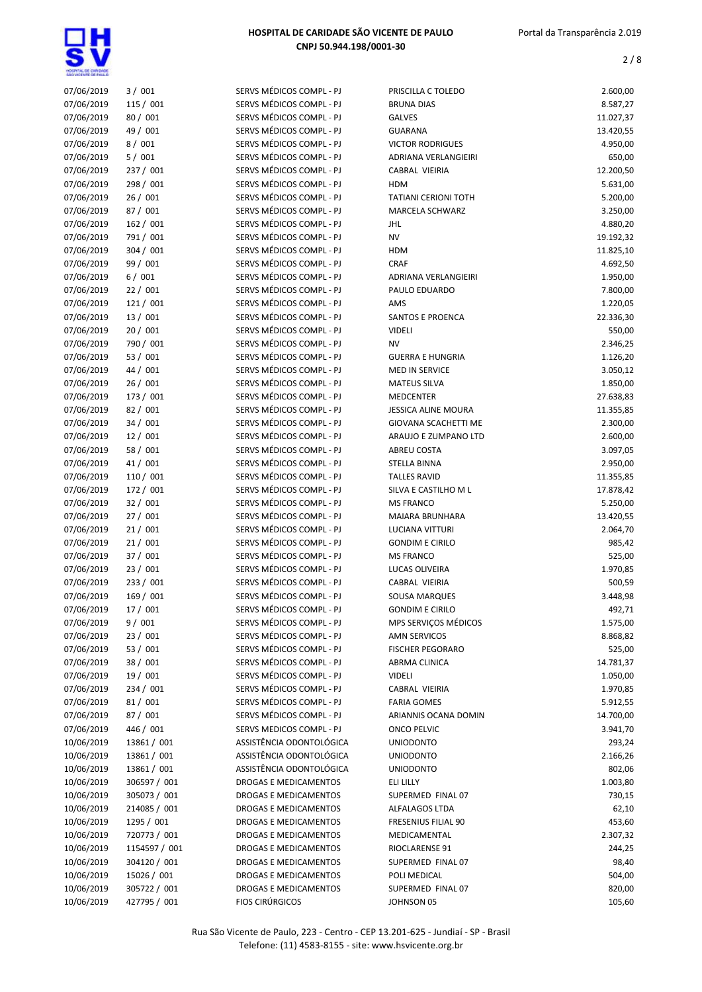

| 07/06/2019 | 3 / 001       | SERVS MÉDICOS COMPL - PJ | PRISCILLA C TOLEDO          | 2.600,00  |
|------------|---------------|--------------------------|-----------------------------|-----------|
| 07/06/2019 | 115 / 001     | SERVS MÉDICOS COMPL - PJ | <b>BRUNA DIAS</b>           | 8.587,27  |
| 07/06/2019 | 80 / 001      | SERVS MÉDICOS COMPL - PJ | <b>GALVES</b>               | 11.027,37 |
| 07/06/2019 | 49 / 001      | SERVS MÉDICOS COMPL - PJ | <b>GUARANA</b>              | 13.420,55 |
| 07/06/2019 | 8/001         | SERVS MÉDICOS COMPL - PJ | <b>VICTOR RODRIGUES</b>     | 4.950,00  |
| 07/06/2019 | 5/001         | SERVS MÉDICOS COMPL - PJ | ADRIANA VERLANGIEIRI        | 650,00    |
| 07/06/2019 | 237 / 001     | SERVS MÉDICOS COMPL - PJ | CABRAL VIEIRIA              | 12.200,50 |
| 07/06/2019 | 298 / 001     | SERVS MÉDICOS COMPL - PJ | <b>HDM</b>                  | 5.631,00  |
| 07/06/2019 | 26/001        | SERVS MÉDICOS COMPL - PJ | <b>TATIANI CERIONI TOTH</b> | 5.200,00  |
| 07/06/2019 | 87 / 001      | SERVS MÉDICOS COMPL - PJ | <b>MARCELA SCHWARZ</b>      | 3.250,00  |
| 07/06/2019 | 162 / 001     | SERVS MÉDICOS COMPL - PJ | JHL                         | 4.880,20  |
| 07/06/2019 | 791 / 001     | SERVS MÉDICOS COMPL - PJ | <b>NV</b>                   | 19.192,32 |
| 07/06/2019 | 304 / 001     | SERVS MÉDICOS COMPL - PJ | <b>HDM</b>                  | 11.825,10 |
| 07/06/2019 | 99 / 001      | SERVS MÉDICOS COMPL - PJ | <b>CRAF</b>                 | 4.692,50  |
| 07/06/2019 | 6/001         | SERVS MÉDICOS COMPL - PJ | ADRIANA VERLANGIEIRI        | 1.950,00  |
| 07/06/2019 | 22/001        | SERVS MÉDICOS COMPL - PJ | PAULO EDUARDO               | 7.800,00  |
| 07/06/2019 | 121 / 001     | SERVS MÉDICOS COMPL - PJ | AMS                         | 1.220,05  |
| 07/06/2019 | 13/001        | SERVS MÉDICOS COMPL - PJ |                             | 22.336,30 |
| 07/06/2019 |               | SERVS MÉDICOS COMPL - PJ | SANTOS E PROENCA            |           |
|            | 20/001        |                          | <b>VIDELI</b>               | 550,00    |
| 07/06/2019 | 790 / 001     | SERVS MÉDICOS COMPL - PJ | <b>NV</b>                   | 2.346,25  |
| 07/06/2019 | 53 / 001      | SERVS MÉDICOS COMPL - PJ | <b>GUERRA E HUNGRIA</b>     | 1.126,20  |
| 07/06/2019 | 44 / 001      | SERVS MÉDICOS COMPL - PJ | MED IN SERVICE              | 3.050,12  |
| 07/06/2019 | 26 / 001      | SERVS MÉDICOS COMPL - PJ | <b>MATEUS SILVA</b>         | 1.850,00  |
| 07/06/2019 | 173 / 001     | SERVS MÉDICOS COMPL - PJ | <b>MEDCENTER</b>            | 27.638,83 |
| 07/06/2019 | 82/001        | SERVS MÉDICOS COMPL - PJ | JESSICA ALINE MOURA         | 11.355,85 |
| 07/06/2019 | 34/001        | SERVS MÉDICOS COMPL - PJ | GIOVANA SCACHETTI ME        | 2.300,00  |
| 07/06/2019 | 12 / 001      | SERVS MÉDICOS COMPL - PJ | ARAUJO E ZUMPANO LTD        | 2.600,00  |
| 07/06/2019 | 58 / 001      | SERVS MÉDICOS COMPL - PJ | <b>ABREU COSTA</b>          | 3.097,05  |
| 07/06/2019 | 41 / 001      | SERVS MÉDICOS COMPL - PJ | <b>STELLA BINNA</b>         | 2.950,00  |
| 07/06/2019 | 110 / 001     | SERVS MÉDICOS COMPL - PJ | <b>TALLES RAVID</b>         | 11.355,85 |
| 07/06/2019 | 172 / 001     | SERVS MÉDICOS COMPL - PJ | SILVA E CASTILHO M L        | 17.878,42 |
| 07/06/2019 | 32/001        | SERVS MÉDICOS COMPL - PJ | <b>MS FRANCO</b>            | 5.250,00  |
| 07/06/2019 | 27/001        | SERVS MÉDICOS COMPL - PJ | MAIARA BRUNHARA             | 13.420,55 |
| 07/06/2019 | 21/001        | SERVS MÉDICOS COMPL - PJ | LUCIANA VITTURI             | 2.064,70  |
| 07/06/2019 | 21/001        | SERVS MÉDICOS COMPL - PJ | <b>GONDIM E CIRILO</b>      | 985,42    |
| 07/06/2019 | 37/001        | SERVS MÉDICOS COMPL - PJ | <b>MS FRANCO</b>            | 525,00    |
| 07/06/2019 | 23/001        | SERVS MÉDICOS COMPL - PJ | LUCAS OLIVEIRA              | 1.970,85  |
| 07/06/2019 | 233 / 001     | SERVS MÉDICOS COMPL - PJ | CABRAL VIEIRIA              | 500,59    |
| 07/06/2019 | 169 / 001     | SERVS MÉDICOS COMPL - PJ | <b>SOUSA MARQUES</b>        | 3.448,98  |
| 07/06/2019 | 17 / 001      | SERVS MÉDICOS COMPL - PJ | <b>GONDIM E CIRILO</b>      | 492,71    |
| 07/06/2019 | 9/001         | SERVS MÉDICOS COMPL - PJ | MPS SERVIÇOS MÉDICOS        | 1.575,00  |
| 07/06/2019 | 23/001        | SERVS MÉDICOS COMPL - PJ | <b>AMN SERVICOS</b>         | 8.868,82  |
| 07/06/2019 | 53 / 001      | SERVS MÉDICOS COMPL - PJ | <b>FISCHER PEGORARO</b>     | 525,00    |
| 07/06/2019 | 38 / 001      | SERVS MÉDICOS COMPL - PJ | ABRMA CLINICA               | 14.781,37 |
| 07/06/2019 | 19 / 001      | SERVS MÉDICOS COMPL - PJ | <b>VIDELI</b>               | 1.050,00  |
| 07/06/2019 | 234 / 001     | SERVS MÉDICOS COMPL - PJ | CABRAL VIEIRIA              | 1.970,85  |
| 07/06/2019 | 81/001        | SERVS MÉDICOS COMPL - PJ | <b>FARIA GOMES</b>          | 5.912,55  |
| 07/06/2019 | 87 / 001      | SERVS MÉDICOS COMPL - PJ | ARIANNIS OCANA DOMIN        | 14.700,00 |
| 07/06/2019 | 446 / 001     | SERVS MEDICOS COMPL - PJ | ONCO PELVIC                 | 3.941,70  |
| 10/06/2019 | 13861 / 001   | ASSISTÊNCIA ODONTOLÓGICA | <b>UNIODONTO</b>            | 293,24    |
| 10/06/2019 | 13861 / 001   | ASSISTÊNCIA ODONTOLÓGICA | <b>UNIODONTO</b>            | 2.166,26  |
| 10/06/2019 | 13861 / 001   | ASSISTÊNCIA ODONTOLÓGICA | <b>UNIODONTO</b>            |           |
| 10/06/2019 | 306597 / 001  |                          |                             | 802,06    |
|            |               | DROGAS E MEDICAMENTOS    | ELI LILLY                   | 1.003,80  |
| 10/06/2019 | 305073 / 001  | DROGAS E MEDICAMENTOS    | SUPERMED FINAL 07           | 730,15    |
| 10/06/2019 | 214085 / 001  | DROGAS E MEDICAMENTOS    | ALFALAGOS LTDA              | 62,10     |
| 10/06/2019 | 1295 / 001    | DROGAS E MEDICAMENTOS    | FRESENIUS FILIAL 90         | 453,60    |
| 10/06/2019 | 720773 / 001  | DROGAS E MEDICAMENTOS    | MEDICAMENTAL                | 2.307,32  |
| 10/06/2019 | 1154597 / 001 | DROGAS E MEDICAMENTOS    | RIOCLARENSE 91              | 244,25    |
| 10/06/2019 | 304120 / 001  | DROGAS E MEDICAMENTOS    | SUPERMED FINAL 07           | 98,40     |
| 10/06/2019 | 15026 / 001   | DROGAS E MEDICAMENTOS    | POLI MEDICAL                | 504,00    |
| 10/06/2019 | 305722 / 001  | DROGAS E MEDICAMENTOS    | SUPERMED FINAL 07           | 820,00    |
| 10/06/2019 | 427795 / 001  | <b>FIOS CIRÚRGICOS</b>   | JOHNSON 05                  | 105,60    |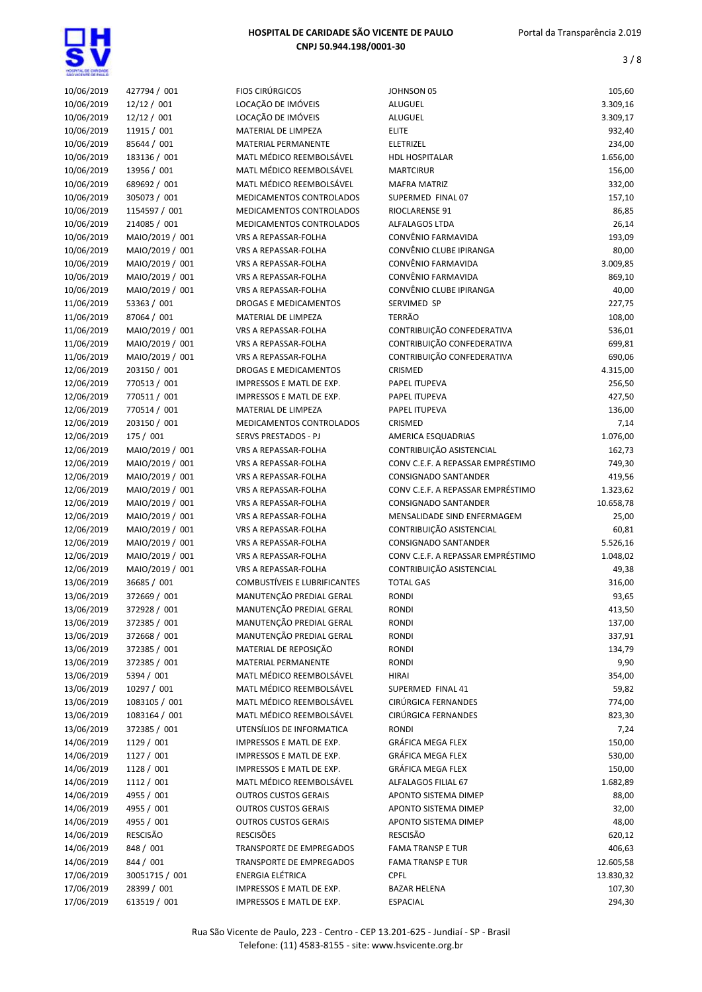

| 10/06/2019 | 427794 / 001    | <b>FIOS CIRÚRGICOS</b>       | JOHNSON 05                        | 105,60    |
|------------|-----------------|------------------------------|-----------------------------------|-----------|
| 10/06/2019 | 12/12 / 001     | LOCAÇÃO DE IMÓVEIS           | <b>ALUGUEL</b>                    | 3.309,16  |
| 10/06/2019 | 12/12 / 001     | LOCAÇÃO DE IMÓVEIS           | <b>ALUGUEL</b>                    | 3.309,17  |
|            |                 |                              |                                   |           |
| 10/06/2019 | 11915 / 001     | MATERIAL DE LIMPEZA          | <b>ELITE</b>                      | 932,40    |
| 10/06/2019 | 85644 / 001     | <b>MATERIAL PERMANENTE</b>   | <b>ELETRIZEL</b>                  | 234,00    |
| 10/06/2019 | 183136 / 001    | MATL MÉDICO REEMBOLSÁVEL     | <b>HDL HOSPITALAR</b>             | 1.656,00  |
| 10/06/2019 | 13956 / 001     | MATL MÉDICO REEMBOLSÁVEL     | <b>MARTCIRUR</b>                  | 156,00    |
| 10/06/2019 | 689692 / 001    | MATL MÉDICO REEMBOLSÁVEL     | <b>MAFRA MATRIZ</b>               | 332,00    |
| 10/06/2019 | 305073 / 001    | MEDICAMENTOS CONTROLADOS     | SUPERMED FINAL 07                 | 157,10    |
| 10/06/2019 | 1154597 / 001   | MEDICAMENTOS CONTROLADOS     | RIOCLARENSE 91                    | 86,85     |
| 10/06/2019 | 214085 / 001    | MEDICAMENTOS CONTROLADOS     | ALFALAGOS LTDA                    | 26,14     |
| 10/06/2019 | MAIO/2019 / 001 | VRS A REPASSAR-FOLHA         | CONVÊNIO FARMAVIDA                | 193,09    |
| 10/06/2019 | MAIO/2019 / 001 | VRS A REPASSAR-FOLHA         | CONVÊNIO CLUBE IPIRANGA           | 80,00     |
| 10/06/2019 | MAIO/2019 / 001 | VRS A REPASSAR-FOLHA         | CONVÊNIO FARMAVIDA                | 3.009,85  |
| 10/06/2019 | MAIO/2019 / 001 | VRS A REPASSAR-FOLHA         | CONVÊNIO FARMAVIDA                | 869,10    |
| 10/06/2019 | MAIO/2019 / 001 | VRS A REPASSAR-FOLHA         | CONVÊNIO CLUBE IPIRANGA           | 40,00     |
| 11/06/2019 | 53363 / 001     | DROGAS E MEDICAMENTOS        | SERVIMED SP                       | 227,75    |
| 11/06/2019 | 87064 / 001     | MATERIAL DE LIMPEZA          | <b>TERRÃO</b>                     | 108,00    |
| 11/06/2019 | MAIO/2019 / 001 | VRS A REPASSAR-FOLHA         | CONTRIBUIÇÃO CONFEDERATIVA        | 536,01    |
|            | MAIO/2019 / 001 |                              | CONTRIBUIÇÃO CONFEDERATIVA        |           |
| 11/06/2019 |                 | VRS A REPASSAR-FOLHA         |                                   | 699,81    |
| 11/06/2019 | MAIO/2019 / 001 | VRS A REPASSAR-FOLHA         | CONTRIBUIÇÃO CONFEDERATIVA        | 690,06    |
| 12/06/2019 | 203150 / 001    | DROGAS E MEDICAMENTOS        | CRISMED                           | 4.315,00  |
| 12/06/2019 | 770513 / 001    | IMPRESSOS E MATL DE EXP.     | PAPEL ITUPEVA                     | 256,50    |
| 12/06/2019 | 770511 / 001    | IMPRESSOS E MATL DE EXP.     | PAPEL ITUPEVA                     | 427,50    |
| 12/06/2019 | 770514 / 001    | MATERIAL DE LIMPEZA          | PAPEL ITUPEVA                     | 136,00    |
| 12/06/2019 | 203150 / 001    | MEDICAMENTOS CONTROLADOS     | CRISMED                           | 7,14      |
| 12/06/2019 | 175 / 001       | SERVS PRESTADOS - PJ         | AMERICA ESQUADRIAS                | 1.076,00  |
| 12/06/2019 | MAIO/2019 / 001 | VRS A REPASSAR-FOLHA         | CONTRIBUIÇÃO ASISTENCIAL          | 162,73    |
| 12/06/2019 | MAIO/2019 / 001 | VRS A REPASSAR-FOLHA         | CONV C.E.F. A REPASSAR EMPRÉSTIMO | 749,30    |
| 12/06/2019 | MAIO/2019 / 001 | VRS A REPASSAR-FOLHA         | CONSIGNADO SANTANDER              | 419,56    |
| 12/06/2019 | MAIO/2019 / 001 | VRS A REPASSAR-FOLHA         | CONV C.E.F. A REPASSAR EMPRÉSTIMO | 1.323,62  |
| 12/06/2019 | MAIO/2019 / 001 | VRS A REPASSAR-FOLHA         | CONSIGNADO SANTANDER              | 10.658,78 |
| 12/06/2019 | MAIO/2019 / 001 | VRS A REPASSAR-FOLHA         | MENSALIDADE SIND ENFERMAGEM       | 25,00     |
| 12/06/2019 | MAIO/2019 / 001 | VRS A REPASSAR-FOLHA         | CONTRIBUIÇÃO ASISTENCIAL          | 60,81     |
| 12/06/2019 | MAIO/2019 / 001 | VRS A REPASSAR-FOLHA         | <b>CONSIGNADO SANTANDER</b>       | 5.526,16  |
| 12/06/2019 | MAIO/2019 / 001 | VRS A REPASSAR-FOLHA         | CONV C.E.F. A REPASSAR EMPRÉSTIMO | 1.048,02  |
| 12/06/2019 | MAIO/2019 / 001 | VRS A REPASSAR-FOLHA         | CONTRIBUIÇÃO ASISTENCIAL          | 49,38     |
| 13/06/2019 | 36685 / 001     | COMBUSTÍVEIS E LUBRIFICANTES | <b>TOTAL GAS</b>                  | 316,00    |
|            |                 | MANUTENÇÃO PREDIAL GERAL     |                                   |           |
| 13/06/2019 | 372669 / 001    |                              | <b>RONDI</b>                      | 93,65     |
| 13/06/2019 | 372928 / 001    | MANUTENÇÃO PREDIAL GERAL     | RONDI                             | 413,50    |
| 13/06/2019 | 372385 / 001    | MANUTENÇÃO PREDIAL GERAL     | <b>RONDI</b>                      | 137,00    |
| 13/06/2019 | 372668 / 001    | MANUTENÇÃO PREDIAL GERAL     | RONDI                             | 337,91    |
| 13/06/2019 | 372385 / 001    | MATERIAL DE REPOSIÇÃO        | <b>RONDI</b>                      | 134,79    |
| 13/06/2019 | 372385 / 001    | MATERIAL PERMANENTE          | <b>RONDI</b>                      | 9,90      |
| 13/06/2019 | 5394 / 001      | MATL MÉDICO REEMBOLSÁVEL     | <b>HIRAI</b>                      | 354,00    |
| 13/06/2019 | 10297 / 001     | MATL MÉDICO REEMBOLSÁVEL     | SUPERMED FINAL 41                 | 59,82     |
| 13/06/2019 | 1083105 / 001   | MATL MÉDICO REEMBOLSÁVEL     | CIRÚRGICA FERNANDES               | 774,00    |
| 13/06/2019 | 1083164 / 001   | MATL MÉDICO REEMBOLSÁVEL     | CIRÚRGICA FERNANDES               | 823,30    |
| 13/06/2019 | 372385 / 001    | UTENSÍLIOS DE INFORMATICA    | <b>RONDI</b>                      | 7,24      |
| 14/06/2019 | 1129 / 001      | IMPRESSOS E MATL DE EXP.     | GRÁFICA MEGA FLEX                 | 150,00    |
| 14/06/2019 | 1127 / 001      | IMPRESSOS E MATL DE EXP.     | GRÁFICA MEGA FLEX                 | 530,00    |
| 14/06/2019 | 1128 / 001      | IMPRESSOS E MATL DE EXP.     | GRÁFICA MEGA FLEX                 | 150,00    |
| 14/06/2019 | 1112 / 001      | MATL MÉDICO REEMBOLSÁVEL     | ALFALAGOS FILIAL 67               | 1.682,89  |
| 14/06/2019 | 4955 / 001      | <b>OUTROS CUSTOS GERAIS</b>  | APONTO SISTEMA DIMEP              | 88,00     |
| 14/06/2019 | 4955 / 001      | <b>OUTROS CUSTOS GERAIS</b>  | APONTO SISTEMA DIMEP              | 32,00     |
| 14/06/2019 | 4955 / 001      | <b>OUTROS CUSTOS GERAIS</b>  | APONTO SISTEMA DIMEP              | 48,00     |
| 14/06/2019 | RESCISÃO        | <b>RESCISÕES</b>             | <b>RESCISÃO</b>                   | 620,12    |
| 14/06/2019 | 848 / 001       |                              |                                   | 406,63    |
|            |                 | TRANSPORTE DE EMPREGADOS     | <b>FAMA TRANSP E TUR</b>          |           |
| 14/06/2019 | 844 / 001       | TRANSPORTE DE EMPREGADOS     | <b>FAMA TRANSP E TUR</b>          | 12.605,58 |
| 17/06/2019 | 30051715 / 001  | <b>ENERGIA ELÉTRICA</b>      | <b>CPFL</b>                       | 13.830,32 |
| 17/06/2019 | 28399 / 001     | IMPRESSOS E MATL DE EXP.     | <b>BAZAR HELENA</b>               | 107,30    |
| 17/06/2019 | 613519 / 001    | IMPRESSOS E MATL DE EXP.     | <b>ESPACIAL</b>                   | 294,30    |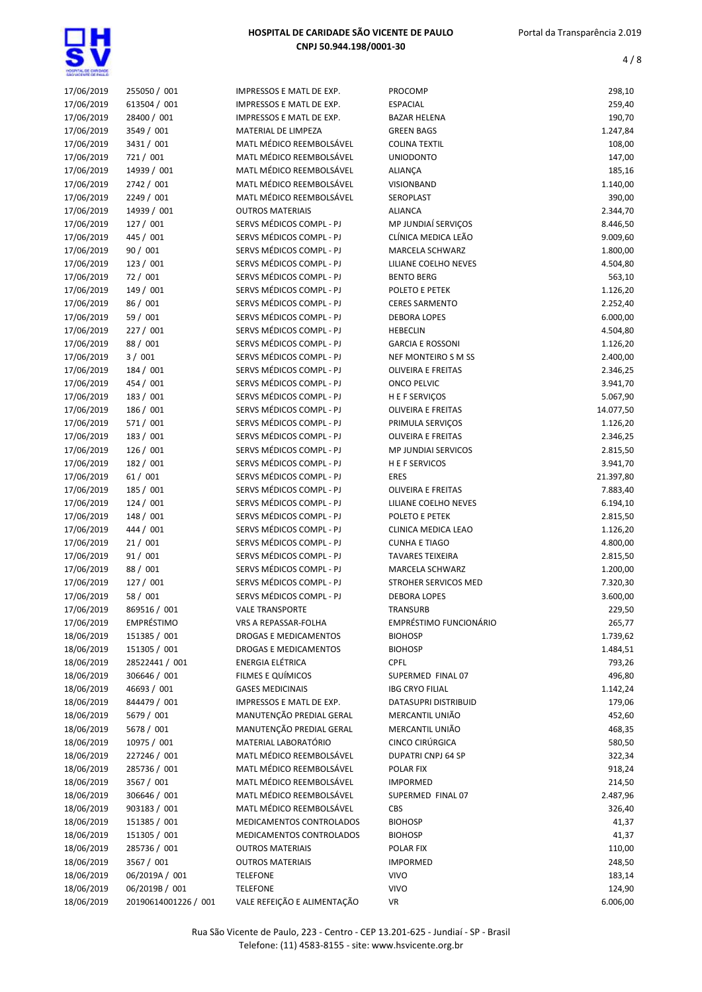

| 17/06/2019 | 255050 / 001         | IMPRESSOS E MATL DE EXP.    | PROCOMP                               | 298,10    |
|------------|----------------------|-----------------------------|---------------------------------------|-----------|
| 17/06/2019 | 613504 / 001         | IMPRESSOS E MATL DE EXP.    | <b>ESPACIAL</b>                       | 259,40    |
| 17/06/2019 | 28400 / 001          | IMPRESSOS E MATL DE EXP.    | <b>BAZAR HELENA</b>                   | 190,70    |
| 17/06/2019 | 3549 / 001           | MATERIAL DE LIMPEZA         | <b>GREEN BAGS</b>                     | 1.247,84  |
| 17/06/2019 | 3431 / 001           | MATL MÉDICO REEMBOLSÁVEL    | <b>COLINA TEXTIL</b>                  | 108,00    |
| 17/06/2019 | 721 / 001            | MATL MÉDICO REEMBOLSÁVEL    | <b>UNIODONTO</b>                      | 147,00    |
| 17/06/2019 | 14939 / 001          | MATL MÉDICO REEMBOLSÁVEL    | ALIANÇA                               | 185,16    |
| 17/06/2019 | 2742 / 001           | MATL MÉDICO REEMBOLSÁVEL    | VISIONBAND                            | 1.140,00  |
| 17/06/2019 | 2249 / 001           | MATL MÉDICO REEMBOLSÁVEL    | SEROPLAST                             | 390,00    |
| 17/06/2019 |                      |                             |                                       |           |
|            | 14939 / 001          | <b>OUTROS MATERIAIS</b>     | <b>ALIANCA</b><br>MP JUNDIAÍ SERVICOS | 2.344,70  |
| 17/06/2019 | 127 / 001            | SERVS MÉDICOS COMPL - PJ    |                                       | 8.446,50  |
| 17/06/2019 | 445 / 001            | SERVS MÉDICOS COMPL - PJ    | CLÍNICA MEDICA LEÃO                   | 9.009,60  |
| 17/06/2019 | 90/001               | SERVS MÉDICOS COMPL - PJ    | <b>MARCELA SCHWARZ</b>                | 1.800,00  |
| 17/06/2019 | 123 / 001            | SERVS MÉDICOS COMPL - PJ    | LILIANE COELHO NEVES                  | 4.504,80  |
| 17/06/2019 | 72 / 001             | SERVS MÉDICOS COMPL - PJ    | <b>BENTO BERG</b>                     | 563,10    |
| 17/06/2019 | 149 / 001            | SERVS MÉDICOS COMPL - PJ    | POLETO E PETEK                        | 1.126,20  |
| 17/06/2019 | 86 / 001             | SERVS MÉDICOS COMPL - PJ    | <b>CERES SARMENTO</b>                 | 2.252,40  |
| 17/06/2019 | 59 / 001             | SERVS MÉDICOS COMPL - PJ    | <b>DEBORA LOPES</b>                   | 6.000,00  |
| 17/06/2019 | 227 / 001            | SERVS MÉDICOS COMPL - PJ    | <b>HEBECLIN</b>                       | 4.504,80  |
| 17/06/2019 | 88 / 001             | SERVS MÉDICOS COMPL - PJ    | <b>GARCIA E ROSSONI</b>               | 1.126,20  |
| 17/06/2019 | 3/001                | SERVS MÉDICOS COMPL - PJ    | NEF MONTEIRO S M SS                   | 2.400,00  |
| 17/06/2019 | 184 / 001            | SERVS MÉDICOS COMPL - PJ    | <b>OLIVEIRA E FREITAS</b>             | 2.346,25  |
| 17/06/2019 | 454 / 001            | SERVS MÉDICOS COMPL - PJ    | <b>ONCO PELVIC</b>                    | 3.941,70  |
| 17/06/2019 | 183 / 001            | SERVS MÉDICOS COMPL - PJ    | <b>HEFSERVIÇOS</b>                    | 5.067,90  |
| 17/06/2019 | 186 / 001            | SERVS MÉDICOS COMPL - PJ    | <b>OLIVEIRA E FREITAS</b>             | 14.077,50 |
| 17/06/2019 | 571 / 001            | SERVS MÉDICOS COMPL - PJ    | PRIMULA SERVIÇOS                      | 1.126,20  |
| 17/06/2019 | 183 / 001            | SERVS MÉDICOS COMPL - PJ    | <b>OLIVEIRA E FREITAS</b>             | 2.346,25  |
| 17/06/2019 | 126/001              | SERVS MÉDICOS COMPL - PJ    | <b>MP JUNDIAI SERVICOS</b>            | 2.815,50  |
| 17/06/2019 | 182 / 001            | SERVS MÉDICOS COMPL - PJ    | <b>HEFSERVICOS</b>                    | 3.941,70  |
| 17/06/2019 | 61/001               | SERVS MÉDICOS COMPL - PJ    | <b>ERES</b>                           | 21.397,80 |
| 17/06/2019 | 185 / 001            | SERVS MÉDICOS COMPL - PJ    | <b>OLIVEIRA E FREITAS</b>             | 7.883,40  |
| 17/06/2019 | 124/001              | SERVS MÉDICOS COMPL - PJ    | LILIANE COELHO NEVES                  | 6.194,10  |
| 17/06/2019 | 148 / 001            | SERVS MÉDICOS COMPL - PJ    | POLETO E PETEK                        | 2.815,50  |
|            |                      | SERVS MÉDICOS COMPL - PJ    |                                       |           |
| 17/06/2019 | 444 / 001            |                             | CLINICA MEDICA LEAO                   | 1.126,20  |
| 17/06/2019 | 21/001               | SERVS MÉDICOS COMPL - PJ    | <b>CUNHA E TIAGO</b>                  | 4.800,00  |
| 17/06/2019 | 91/001               | SERVS MÉDICOS COMPL - PJ    | <b>TAVARES TEIXEIRA</b>               | 2.815,50  |
| 17/06/2019 | 88 / 001             | SERVS MÉDICOS COMPL - PJ    | MARCELA SCHWARZ                       | 1.200,00  |
| 17/06/2019 | 127 / 001            | SERVS MÉDICOS COMPL - PJ    | STROHER SERVICOS MED                  | 7.320,30  |
| 17/06/2019 | 58 / 001             | SERVS MÉDICOS COMPL - PJ    | <b>DEBORA LOPES</b>                   | 3.600,00  |
| 17/06/2019 | 869516 / 001         | <b>VALE TRANSPORTE</b>      | <b>TRANSURB</b>                       | 229,50    |
| 17/06/2019 | EMPRÉSTIMO           | VRS A REPASSAR-FOLHA        | EMPRÉSTIMO FUNCIONÁRIO                | 265,77    |
| 18/06/2019 | 151385 / 001         | DROGAS E MEDICAMENTOS       | <b>BIOHOSP</b>                        | 1.739,62  |
| 18/06/2019 | 151305 / 001         | DROGAS E MEDICAMENTOS       | <b>BIOHOSP</b>                        | 1.484,51  |
| 18/06/2019 | 28522441 / 001       | ENERGIA ELÉTRICA            | <b>CPFL</b>                           | 793,26    |
| 18/06/2019 | 306646 / 001         | FILMES E QUÍMICOS           | SUPERMED FINAL 07                     | 496,80    |
| 18/06/2019 | 46693 / 001          | <b>GASES MEDICINAIS</b>     | <b>IBG CRYO FILIAL</b>                | 1.142,24  |
| 18/06/2019 | 844479 / 001         | IMPRESSOS E MATL DE EXP.    | DATASUPRI DISTRIBUID                  | 179,06    |
| 18/06/2019 | 5679 / 001           | MANUTENÇÃO PREDIAL GERAL    | MERCANTIL UNIÃO                       | 452,60    |
| 18/06/2019 | 5678 / 001           | MANUTENÇÃO PREDIAL GERAL    | MERCANTIL UNIÃO                       | 468,35    |
| 18/06/2019 | 10975 / 001          | MATERIAL LABORATÓRIO        | CINCO CIRÚRGICA                       | 580,50    |
| 18/06/2019 | 227246 / 001         | MATL MÉDICO REEMBOLSÁVEL    | DUPATRI CNPJ 64 SP                    | 322,34    |
| 18/06/2019 | 285736 / 001         | MATL MÉDICO REEMBOLSÁVEL    | POLAR FIX                             | 918,24    |
| 18/06/2019 | 3567 / 001           | MATL MÉDICO REEMBOLSÁVEL    | <b>IMPORMED</b>                       | 214,50    |
| 18/06/2019 | 306646 / 001         | MATL MÉDICO REEMBOLSÁVEL    | SUPERMED FINAL 07                     | 2.487,96  |
| 18/06/2019 | 903183 / 001         | MATL MÉDICO REEMBOLSÁVEL    | <b>CBS</b>                            | 326,40    |
| 18/06/2019 | 151385 / 001         | MEDICAMENTOS CONTROLADOS    | <b>BIOHOSP</b>                        | 41,37     |
| 18/06/2019 | 151305 / 001         | MEDICAMENTOS CONTROLADOS    | <b>BIOHOSP</b>                        | 41,37     |
| 18/06/2019 | 285736 / 001         | <b>OUTROS MATERIAIS</b>     | POLAR FIX                             | 110,00    |
| 18/06/2019 | 3567 / 001           | <b>OUTROS MATERIAIS</b>     | <b>IMPORMED</b>                       | 248,50    |
| 18/06/2019 | 06/2019A / 001       | <b>TELEFONE</b>             | <b>VIVO</b>                           | 183,14    |
| 18/06/2019 | 06/2019B / 001       |                             | <b>VIVO</b>                           | 124,90    |
|            |                      | <b>TELEFONE</b>             |                                       |           |
| 18/06/2019 | 20190614001226 / 001 | VALE REFEIÇÃO E ALIMENTAÇÃO | VR                                    | 6.006,00  |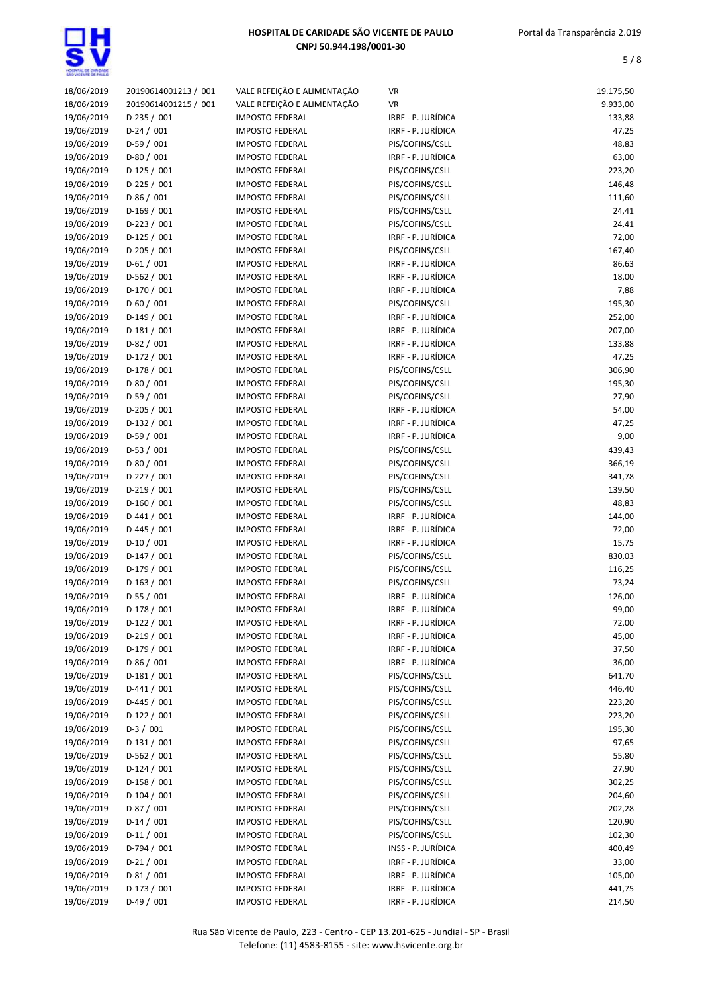

| 18/06/2019 | 20190614001213 / 001 | VALE REFEIÇÃO E ALIMENTAÇÃO | VR                 | 19.175,50 |
|------------|----------------------|-----------------------------|--------------------|-----------|
| 18/06/2019 | 20190614001215 / 001 | VALE REFEIÇÃO E ALIMENTAÇÃO | <b>VR</b>          | 9.933,00  |
| 19/06/2019 | $D-235 / 001$        | <b>IMPOSTO FEDERAL</b>      | IRRF - P. JURÍDICA | 133,88    |
| 19/06/2019 | $D-24 / 001$         | <b>IMPOSTO FEDERAL</b>      | IRRF - P. JURÍDICA | 47,25     |
| 19/06/2019 | $D-59/001$           | <b>IMPOSTO FEDERAL</b>      | PIS/COFINS/CSLL    | 48,83     |
| 19/06/2019 | $D-80/001$           | <b>IMPOSTO FEDERAL</b>      | IRRF - P. JURÍDICA | 63,00     |
| 19/06/2019 | $D-125/001$          | <b>IMPOSTO FEDERAL</b>      | PIS/COFINS/CSLL    | 223,20    |
| 19/06/2019 | $D-225 / 001$        | <b>IMPOSTO FEDERAL</b>      | PIS/COFINS/CSLL    | 146,48    |
| 19/06/2019 | $D-86/001$           | <b>IMPOSTO FEDERAL</b>      | PIS/COFINS/CSLL    | 111,60    |
| 19/06/2019 | D-169 / 001          | <b>IMPOSTO FEDERAL</b>      | PIS/COFINS/CSLL    | 24,41     |
| 19/06/2019 | D-223 / 001          | <b>IMPOSTO FEDERAL</b>      | PIS/COFINS/CSLL    | 24,41     |
| 19/06/2019 | $D-125/001$          | <b>IMPOSTO FEDERAL</b>      | IRRF - P. JURÍDICA | 72,00     |
| 19/06/2019 | D-205 / 001          | <b>IMPOSTO FEDERAL</b>      | PIS/COFINS/CSLL    | 167,40    |
| 19/06/2019 | $D-61/001$           | <b>IMPOSTO FEDERAL</b>      | IRRF - P. JURÍDICA | 86,63     |
| 19/06/2019 | $D-562 / 001$        | <b>IMPOSTO FEDERAL</b>      | IRRF - P. JURÍDICA | 18,00     |
| 19/06/2019 | $D-170/001$          | <b>IMPOSTO FEDERAL</b>      | IRRF - P. JURÍDICA | 7,88      |
| 19/06/2019 | $D-60/001$           | <b>IMPOSTO FEDERAL</b>      | PIS/COFINS/CSLL    | 195,30    |
| 19/06/2019 | D-149 / 001          |                             | IRRF - P. JURÍDICA | 252,00    |
| 19/06/2019 |                      | <b>IMPOSTO FEDERAL</b>      |                    |           |
|            | $D-181/001$          | <b>IMPOSTO FEDERAL</b>      | IRRF - P. JURÍDICA | 207,00    |
| 19/06/2019 | $D-82 / 001$         | <b>IMPOSTO FEDERAL</b>      | IRRF - P. JURÍDICA | 133,88    |
| 19/06/2019 | D-172 / 001          | <b>IMPOSTO FEDERAL</b>      | IRRF - P. JURÍDICA | 47,25     |
| 19/06/2019 | D-178 / 001          | <b>IMPOSTO FEDERAL</b>      | PIS/COFINS/CSLL    | 306,90    |
| 19/06/2019 | $D-80/001$           | <b>IMPOSTO FEDERAL</b>      | PIS/COFINS/CSLL    | 195,30    |
| 19/06/2019 | $D-59/001$           | <b>IMPOSTO FEDERAL</b>      | PIS/COFINS/CSLL    | 27,90     |
| 19/06/2019 | D-205 / 001          | <b>IMPOSTO FEDERAL</b>      | IRRF - P. JURÍDICA | 54,00     |
| 19/06/2019 | $D-132 / 001$        | <b>IMPOSTO FEDERAL</b>      | IRRF - P. JURÍDICA | 47,25     |
| 19/06/2019 | $D-59/001$           | <b>IMPOSTO FEDERAL</b>      | IRRF - P. JURÍDICA | 9,00      |
| 19/06/2019 | $D-53 / 001$         | <b>IMPOSTO FEDERAL</b>      | PIS/COFINS/CSLL    | 439,43    |
| 19/06/2019 | $D-80/001$           | <b>IMPOSTO FEDERAL</b>      | PIS/COFINS/CSLL    | 366,19    |
| 19/06/2019 | D-227 / 001          | <b>IMPOSTO FEDERAL</b>      | PIS/COFINS/CSLL    | 341,78    |
| 19/06/2019 | $D-219/001$          | <b>IMPOSTO FEDERAL</b>      | PIS/COFINS/CSLL    | 139,50    |
| 19/06/2019 | D-160 / 001          | <b>IMPOSTO FEDERAL</b>      | PIS/COFINS/CSLL    | 48,83     |
| 19/06/2019 | $D-441 / 001$        | <b>IMPOSTO FEDERAL</b>      | IRRF - P. JURÍDICA | 144,00    |
| 19/06/2019 | $D-445 / 001$        | <b>IMPOSTO FEDERAL</b>      | IRRF - P. JURÍDICA | 72,00     |
| 19/06/2019 | $D-10/001$           | <b>IMPOSTO FEDERAL</b>      | IRRF - P. JURÍDICA | 15,75     |
| 19/06/2019 | $D-147/001$          | <b>IMPOSTO FEDERAL</b>      | PIS/COFINS/CSLL    | 830,03    |
| 19/06/2019 | D-179 / 001          | <b>IMPOSTO FEDERAL</b>      | PIS/COFINS/CSLL    | 116,25    |
| 19/06/2019 | $D-163/001$          | <b>IMPOSTO FEDERAL</b>      | PIS/COFINS/CSLL    | 73,24     |
| 19/06/2019 | $D-55/001$           | <b>IMPOSTO FEDERAL</b>      | IRRF - P. JURÍDICA | 126,00    |
| 19/06/2019 | $D-178/001$          | <b>IMPOSTO FEDERAL</b>      | IRRF - P. JURÍDICA | 99,00     |
| 19/06/2019 | $D-122 / 001$        | <b>IMPOSTO FEDERAL</b>      | IRRF - P. JURIDICA | 72,00     |
| 19/06/2019 | $D-219/001$          | <b>IMPOSTO FEDERAL</b>      | IRRF - P. JURÍDICA | 45,00     |
| 19/06/2019 | $D-179/001$          | <b>IMPOSTO FEDERAL</b>      | IRRF - P. JURÍDICA | 37,50     |
| 19/06/2019 | $D-86/001$           | <b>IMPOSTO FEDERAL</b>      | IRRF - P. JURÍDICA | 36,00     |
| 19/06/2019 | $D-181/001$          | <b>IMPOSTO FEDERAL</b>      | PIS/COFINS/CSLL    | 641,70    |
| 19/06/2019 | $D-441/001$          | <b>IMPOSTO FEDERAL</b>      | PIS/COFINS/CSLL    | 446,40    |
| 19/06/2019 | $D-445 / 001$        | <b>IMPOSTO FEDERAL</b>      | PIS/COFINS/CSLL    | 223,20    |
| 19/06/2019 | $D-122 / 001$        | <b>IMPOSTO FEDERAL</b>      | PIS/COFINS/CSLL    | 223,20    |
| 19/06/2019 | $D-3/001$            | <b>IMPOSTO FEDERAL</b>      | PIS/COFINS/CSLL    | 195,30    |
| 19/06/2019 | $D-131/001$          | <b>IMPOSTO FEDERAL</b>      | PIS/COFINS/CSLL    | 97,65     |
| 19/06/2019 | D-562 / 001          | <b>IMPOSTO FEDERAL</b>      | PIS/COFINS/CSLL    | 55,80     |
| 19/06/2019 | $D-124 / 001$        | <b>IMPOSTO FEDERAL</b>      | PIS/COFINS/CSLL    | 27,90     |
| 19/06/2019 | D-158 / 001          | <b>IMPOSTO FEDERAL</b>      | PIS/COFINS/CSLL    | 302,25    |
| 19/06/2019 | $D-104/001$          | <b>IMPOSTO FEDERAL</b>      | PIS/COFINS/CSLL    | 204,60    |
| 19/06/2019 | D-87 / 001           |                             |                    |           |
|            |                      | <b>IMPOSTO FEDERAL</b>      | PIS/COFINS/CSLL    | 202,28    |
| 19/06/2019 | $D-14/001$           | <b>IMPOSTO FEDERAL</b>      | PIS/COFINS/CSLL    | 120,90    |
| 19/06/2019 | $D-11/001$           | <b>IMPOSTO FEDERAL</b>      | PIS/COFINS/CSLL    | 102,30    |
| 19/06/2019 | D-794 / 001          | <b>IMPOSTO FEDERAL</b>      | INSS - P. JURIDICA | 400,49    |
| 19/06/2019 | $D-21/001$           | <b>IMPOSTO FEDERAL</b>      | IRRF - P. JURÍDICA | 33,00     |
| 19/06/2019 | $D-81/001$           | <b>IMPOSTO FEDERAL</b>      | IRRF - P. JURÍDICA | 105,00    |
| 19/06/2019 | $D-173 / 001$        | <b>IMPOSTO FEDERAL</b>      | IRRF - P. JURÍDICA | 441,75    |
| 19/06/2019 | $D-49/001$           | <b>IMPOSTO FEDERAL</b>      | IRRF - P. JURÍDICA | 214,50    |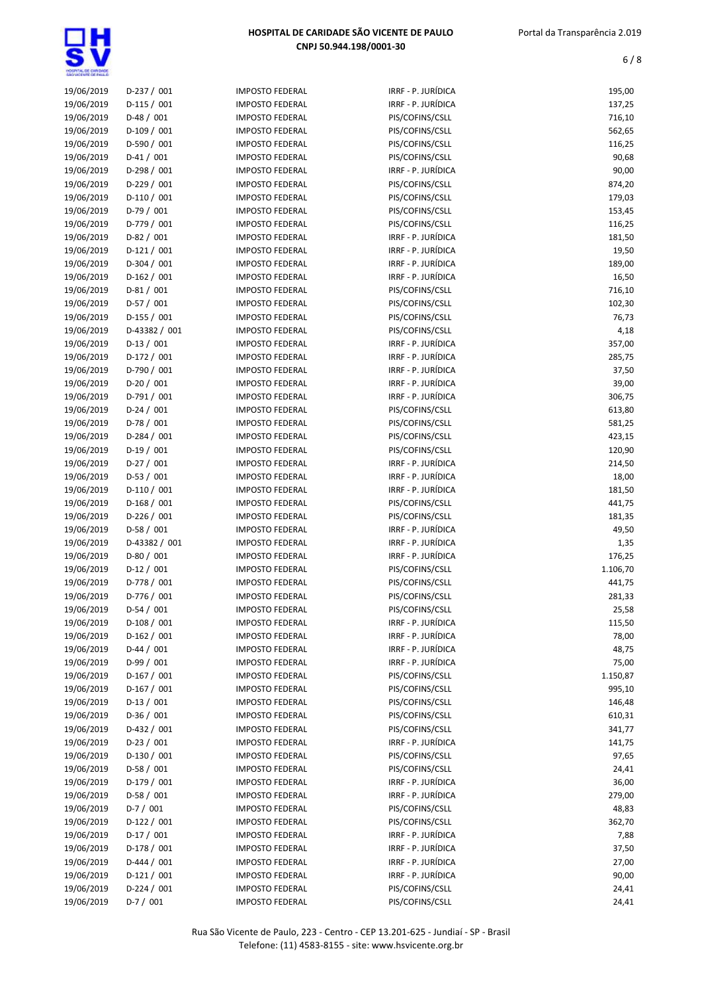| 19/06/2019 | $D-237/001$   | <b>IMPOSTO FEDERAL</b> | IRRF - P. JURÍDICA | 195,00   |
|------------|---------------|------------------------|--------------------|----------|
| 19/06/2019 | $D-115/001$   | <b>IMPOSTO FEDERAL</b> | IRRF - P. JURÍDICA | 137,25   |
| 19/06/2019 | $D-48/001$    | <b>IMPOSTO FEDERAL</b> | PIS/COFINS/CSLL    | 716,10   |
| 19/06/2019 | D-109 / 001   | <b>IMPOSTO FEDERAL</b> | PIS/COFINS/CSLL    | 562,65   |
| 19/06/2019 | D-590 / 001   | <b>IMPOSTO FEDERAL</b> | PIS/COFINS/CSLL    | 116,25   |
| 19/06/2019 | $D-41/001$    | <b>IMPOSTO FEDERAL</b> | PIS/COFINS/CSLL    | 90,68    |
| 19/06/2019 | D-298 / 001   | <b>IMPOSTO FEDERAL</b> | IRRF - P. JURÍDICA | 90,00    |
| 19/06/2019 | $D-229/001$   | <b>IMPOSTO FEDERAL</b> | PIS/COFINS/CSLL    | 874,20   |
| 19/06/2019 | $D-110/001$   | <b>IMPOSTO FEDERAL</b> | PIS/COFINS/CSLL    | 179,03   |
| 19/06/2019 | $D-79/001$    | <b>IMPOSTO FEDERAL</b> | PIS/COFINS/CSLL    | 153,45   |
| 19/06/2019 | D-779 / 001   | <b>IMPOSTO FEDERAL</b> | PIS/COFINS/CSLL    | 116,25   |
| 19/06/2019 | $D-82 / 001$  | <b>IMPOSTO FEDERAL</b> | IRRF - P. JURÍDICA | 181,50   |
| 19/06/2019 | $D-121/001$   | <b>IMPOSTO FEDERAL</b> | IRRF - P. JURÍDICA | 19,50    |
| 19/06/2019 | $D-304 / 001$ | <b>IMPOSTO FEDERAL</b> | IRRF - P. JURÍDICA | 189,00   |
| 19/06/2019 | $D-162 / 001$ | <b>IMPOSTO FEDERAL</b> | IRRF - P. JURÍDICA | 16,50    |
| 19/06/2019 | $D-81/001$    | <b>IMPOSTO FEDERAL</b> | PIS/COFINS/CSLL    | 716,10   |
| 19/06/2019 | $D-57/001$    | <b>IMPOSTO FEDERAL</b> | PIS/COFINS/CSLL    | 102,30   |
| 19/06/2019 | D-155 / 001   | <b>IMPOSTO FEDERAL</b> | PIS/COFINS/CSLL    | 76,73    |
| 19/06/2019 | D-43382 / 001 | <b>IMPOSTO FEDERAL</b> | PIS/COFINS/CSLL    | 4,18     |
| 19/06/2019 | $D-13 / 001$  | <b>IMPOSTO FEDERAL</b> | IRRF - P. JURÍDICA | 357,00   |
| 19/06/2019 | D-172 / 001   | <b>IMPOSTO FEDERAL</b> | IRRF - P. JURÍDICA | 285,75   |
| 19/06/2019 | D-790 / 001   | <b>IMPOSTO FEDERAL</b> | IRRF - P. JURÍDICA | 37,50    |
| 19/06/2019 | $D-20/001$    | <b>IMPOSTO FEDERAL</b> | IRRF - P. JURÍDICA | 39,00    |
| 19/06/2019 | $D-791/001$   | <b>IMPOSTO FEDERAL</b> | IRRF - P. JURÍDICA | 306,75   |
| 19/06/2019 | $D-24 / 001$  | <b>IMPOSTO FEDERAL</b> | PIS/COFINS/CSLL    | 613,80   |
| 19/06/2019 | D-78 / 001    | <b>IMPOSTO FEDERAL</b> | PIS/COFINS/CSLL    | 581,25   |
| 19/06/2019 | $D-284 / 001$ | <b>IMPOSTO FEDERAL</b> | PIS/COFINS/CSLL    | 423,15   |
| 19/06/2019 | $D-19/001$    |                        | PIS/COFINS/CSLL    | 120,90   |
|            |               | <b>IMPOSTO FEDERAL</b> |                    |          |
| 19/06/2019 | $D-27/001$    | <b>IMPOSTO FEDERAL</b> | IRRF - P. JURÍDICA | 214,50   |
| 19/06/2019 | $D-53 / 001$  | <b>IMPOSTO FEDERAL</b> | IRRF - P. JURÍDICA | 18,00    |
| 19/06/2019 | $D-110/001$   | <b>IMPOSTO FEDERAL</b> | IRRF - P. JURÍDICA | 181,50   |
| 19/06/2019 | $D-168/001$   | <b>IMPOSTO FEDERAL</b> | PIS/COFINS/CSLL    | 441,75   |
| 19/06/2019 | $D-226 / 001$ | <b>IMPOSTO FEDERAL</b> | PIS/COFINS/CSLL    | 181,35   |
| 19/06/2019 | $D-58/001$    | <b>IMPOSTO FEDERAL</b> | IRRF - P. JURÍDICA | 49,50    |
| 19/06/2019 | D-43382 / 001 | <b>IMPOSTO FEDERAL</b> | IRRF - P. JURÍDICA | 1,35     |
| 19/06/2019 | $D-80/001$    | <b>IMPOSTO FEDERAL</b> | IRRF - P. JURÍDICA | 176,25   |
| 19/06/2019 | $D-12/001$    | <b>IMPOSTO FEDERAL</b> | PIS/COFINS/CSLL    | 1.106,70 |
| 19/06/2019 | D-778 / 001   | <b>IMPOSTO FEDERAL</b> | PIS/COFINS/CSLL    | 441,75   |
| 19/06/2019 | D-776 / 001   | <b>IMPOSTO FEDERAL</b> | PIS/COFINS/CSLL    | 281,33   |
| 19/06/2019 | $D-54/001$    | <b>IMPOSTO FEDERAL</b> | PIS/COFINS/CSLL    | 25,58    |
| 19/06/2019 | $D-108/001$   | <b>IMPOSTO FEDERAL</b> | IRRF - P. JURÍDICA | 115,50   |
| 19/06/2019 | $D-162/001$   | <b>IMPOSTO FEDERAL</b> | IRRF - P. JURÍDICA | 78,00    |
| 19/06/2019 | $D-44 / 001$  | <b>IMPOSTO FEDERAL</b> | IRRF - P. JURÍDICA | 48,75    |
| 19/06/2019 | D-99 / 001    | <b>IMPOSTO FEDERAL</b> | IRRF - P. JURÍDICA | 75,00    |
| 19/06/2019 | D-167 / 001   | <b>IMPOSTO FEDERAL</b> | PIS/COFINS/CSLL    | 1.150,87 |
| 19/06/2019 | D-167 / 001   | <b>IMPOSTO FEDERAL</b> | PIS/COFINS/CSLL    | 995,10   |
| 19/06/2019 | $D-13/001$    | <b>IMPOSTO FEDERAL</b> | PIS/COFINS/CSLL    | 146,48   |
| 19/06/2019 | $D-36/001$    | <b>IMPOSTO FEDERAL</b> | PIS/COFINS/CSLL    | 610,31   |
| 19/06/2019 | D-432 / 001   | <b>IMPOSTO FEDERAL</b> | PIS/COFINS/CSLL    | 341,77   |
| 19/06/2019 | $D-23 / 001$  | <b>IMPOSTO FEDERAL</b> | IRRF - P. JURÍDICA | 141,75   |
| 19/06/2019 | $D-130/001$   | <b>IMPOSTO FEDERAL</b> | PIS/COFINS/CSLL    | 97,65    |
| 19/06/2019 | D-58 / 001    | <b>IMPOSTO FEDERAL</b> | PIS/COFINS/CSLL    | 24,41    |
| 19/06/2019 | $D-179/001$   | <b>IMPOSTO FEDERAL</b> | IRRF - P. JURÍDICA | 36,00    |
| 19/06/2019 | D-58 / 001    | <b>IMPOSTO FEDERAL</b> | IRRF - P. JURÍDICA | 279,00   |
| 19/06/2019 | $D-7/001$     | <b>IMPOSTO FEDERAL</b> | PIS/COFINS/CSLL    | 48,83    |
| 19/06/2019 | $D-122 / 001$ | <b>IMPOSTO FEDERAL</b> | PIS/COFINS/CSLL    | 362,70   |
| 19/06/2019 | $D-17/001$    | <b>IMPOSTO FEDERAL</b> | IRRF - P. JURÍDICA | 7,88     |
| 19/06/2019 | $D-178/001$   | <b>IMPOSTO FEDERAL</b> | IRRF - P. JURÍDICA | 37,50    |
| 19/06/2019 | $D-444 / 001$ | <b>IMPOSTO FEDERAL</b> | IRRF - P. JURÍDICA | 27,00    |
| 19/06/2019 | $D-121/001$   | <b>IMPOSTO FEDERAL</b> | IRRF - P. JURÍDICA | 90,00    |
| 19/06/2019 | $D-224 / 001$ | <b>IMPOSTO FEDERAL</b> | PIS/COFINS/CSLL    | 24,41    |
| 19/06/2019 | $D-7/001$     | <b>IMPOSTO FEDERAL</b> | PIS/COFINS/CSLL    | 24,41    |
|            |               |                        |                    |          |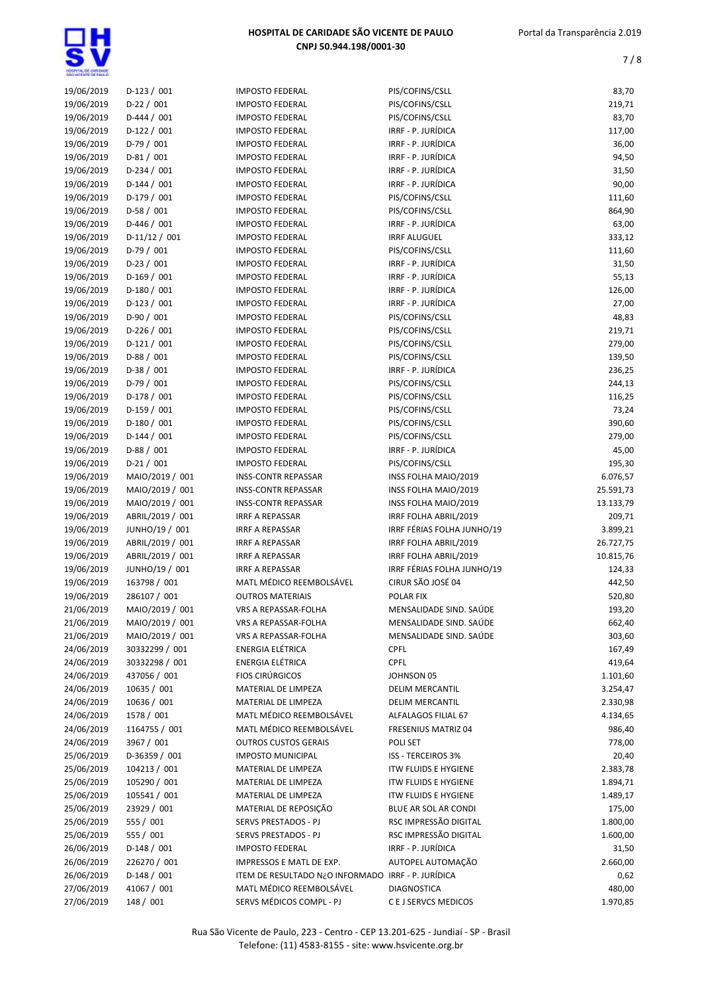| 19/06/2019 | $D-123/001$      | <b>IMPOSTO FEDERAL</b>                               | PIS/COFINS/CSLL             | 83,70     |
|------------|------------------|------------------------------------------------------|-----------------------------|-----------|
| 19/06/2019 | $D-22 / 001$     | <b>IMPOSTO FEDERAL</b>                               | PIS/COFINS/CSLL             | 219,71    |
| 19/06/2019 | $D-444 / 001$    | <b>IMPOSTO FEDERAL</b>                               | PIS/COFINS/CSLL             | 83,70     |
| 19/06/2019 | $D-122 / 001$    | <b>IMPOSTO FEDERAL</b>                               | IRRF - P. JURÍDICA          | 117,00    |
| 19/06/2019 | $D-79/001$       | <b>IMPOSTO FEDERAL</b>                               | IRRF - P. JURÍDICA          | 36,00     |
| 19/06/2019 | $D-81/001$       | <b>IMPOSTO FEDERAL</b>                               | IRRF - P. JURÍDICA          | 94,50     |
| 19/06/2019 | $D-234 / 001$    | <b>IMPOSTO FEDERAL</b>                               | IRRF - P. JURÍDICA          | 31,50     |
| 19/06/2019 | $D-144 / 001$    | <b>IMPOSTO FEDERAL</b>                               | IRRF - P. JURÍDICA          | 90,00     |
| 19/06/2019 | $D-179/001$      | <b>IMPOSTO FEDERAL</b>                               | PIS/COFINS/CSLL             | 111,60    |
| 19/06/2019 | $D-58/001$       | <b>IMPOSTO FEDERAL</b>                               | PIS/COFINS/CSLL             | 864,90    |
| 19/06/2019 | $D-446 / 001$    | <b>IMPOSTO FEDERAL</b>                               | IRRF - P. JURÍDICA          | 63,00     |
| 19/06/2019 | $D-11/12 / 001$  | <b>IMPOSTO FEDERAL</b>                               | <b>IRRF ALUGUEL</b>         | 333,12    |
| 19/06/2019 | $D-79/001$       | <b>IMPOSTO FEDERAL</b>                               | PIS/COFINS/CSLL             | 111,60    |
| 19/06/2019 | $D-23 / 001$     | <b>IMPOSTO FEDERAL</b>                               | IRRF - P. JURÍDICA          | 31,50     |
| 19/06/2019 | $D-169/001$      | <b>IMPOSTO FEDERAL</b>                               | IRRF - P. JURÍDICA          | 55,13     |
| 19/06/2019 | $D-180 / 001$    | <b>IMPOSTO FEDERAL</b>                               | IRRF - P. JURÍDICA          | 126,00    |
| 19/06/2019 | $D-123 / 001$    | <b>IMPOSTO FEDERAL</b>                               | IRRF - P. JURÍDICA          | 27,00     |
| 19/06/2019 | $D-90/001$       | <b>IMPOSTO FEDERAL</b>                               | PIS/COFINS/CSLL             | 48,83     |
| 19/06/2019 | $D-226 / 001$    | <b>IMPOSTO FEDERAL</b>                               | PIS/COFINS/CSLL             | 219,71    |
| 19/06/2019 | $D-121/001$      | <b>IMPOSTO FEDERAL</b>                               | PIS/COFINS/CSLL             | 279,00    |
| 19/06/2019 | $D-88/001$       | <b>IMPOSTO FEDERAL</b>                               | PIS/COFINS/CSLL             | 139,50    |
| 19/06/2019 | $D-38/001$       | <b>IMPOSTO FEDERAL</b>                               | IRRF - P. JURÍDICA          | 236,25    |
| 19/06/2019 | $D-79/001$       | <b>IMPOSTO FEDERAL</b>                               | PIS/COFINS/CSLL             | 244,13    |
| 19/06/2019 | D-178 / 001      | <b>IMPOSTO FEDERAL</b>                               | PIS/COFINS/CSLL             | 116,25    |
| 19/06/2019 | $D-159/001$      | <b>IMPOSTO FEDERAL</b>                               | PIS/COFINS/CSLL             | 73,24     |
| 19/06/2019 | $D-180/001$      | <b>IMPOSTO FEDERAL</b>                               | PIS/COFINS/CSLL             | 390,60    |
| 19/06/2019 | $D-144 / 001$    | <b>IMPOSTO FEDERAL</b>                               | PIS/COFINS/CSLL             | 279,00    |
| 19/06/2019 | $D-88 / 001$     | <b>IMPOSTO FEDERAL</b>                               | IRRF - P. JURÍDICA          | 45,00     |
| 19/06/2019 | $D-21/001$       | <b>IMPOSTO FEDERAL</b>                               | PIS/COFINS/CSLL             | 195,30    |
| 19/06/2019 | MAIO/2019 / 001  | <b>INSS-CONTR REPASSAR</b>                           | INSS FOLHA MAIO/2019        | 6.076,57  |
| 19/06/2019 | MAIO/2019 / 001  | <b>INSS-CONTR REPASSAR</b>                           | INSS FOLHA MAIO/2019        | 25.591,73 |
| 19/06/2019 | MAIO/2019 / 001  | <b>INSS-CONTR REPASSAR</b>                           | INSS FOLHA MAIO/2019        | 13.133,79 |
| 19/06/2019 | ABRIL/2019 / 001 | <b>IRRF A REPASSAR</b>                               | IRRF FOLHA ABRIL/2019       | 209,71    |
| 19/06/2019 | JUNHO/19 / 001   | <b>IRRF A REPASSAR</b>                               | IRRF FÉRIAS FOLHA JUNHO/19  | 3.899,21  |
| 19/06/2019 | ABRIL/2019 / 001 | <b>IRRF A REPASSAR</b>                               | IRRF FOLHA ABRIL/2019       | 26.727,75 |
| 19/06/2019 | ABRIL/2019 / 001 | <b>IRRF A REPASSAR</b>                               | IRRF FOLHA ABRIL/2019       | 10.815,76 |
| 19/06/2019 | JUNHO/19 / 001   | <b>IRRF A REPASSAR</b>                               | IRRF FÉRIAS FOLHA JUNHO/19  | 124,33    |
| 19/06/2019 | 163798 / 001     | MATL MÉDICO REEMBOLSÁVEL                             | CIRUR SÃO JOSÉ 04           | 442,50    |
| 19/06/2019 | 286107 / 001     | <b>OUTROS MATERIAIS</b>                              | POLAR FIX                   | 520,80    |
| 21/06/2019 | MAIO/2019 / 001  | VRS A REPASSAR-FOLHA                                 | MENSALIDADE SIND. SAÚDE     | 193,20    |
| 21/06/2019 | MAIO/2019 / 001  | VRS A REPASSAR-FOLHA                                 | MENSALIDADE SIND. SAÚDE     | 662,40    |
| 21/06/2019 | MAIO/2019 / 001  | VRS A REPASSAR-FOLHA                                 | MENSALIDADE SIND. SAÚDE     | 303,60    |
| 24/06/2019 | 30332299 / 001   | <b>ENERGIA ELÉTRICA</b>                              | <b>CPFL</b>                 | 167,49    |
| 24/06/2019 | 30332298 / 001   | <b>ENERGIA ELÉTRICA</b>                              | <b>CPFL</b>                 | 419,64    |
| 24/06/2019 | 437056 / 001     | <b>FIOS CIRÚRGICOS</b>                               | JOHNSON 05                  | 1.101,60  |
| 24/06/2019 | 10635 / 001      | MATERIAL DE LIMPEZA                                  | <b>DELIM MERCANTIL</b>      | 3.254,47  |
| 24/06/2019 | 10636 / 001      | MATERIAL DE LIMPEZA                                  | <b>DELIM MERCANTIL</b>      | 2.330,98  |
|            | 1578 / 001       |                                                      |                             |           |
| 24/06/2019 | 1164755 / 001    | MATL MÉDICO REEMBOLSÁVEL<br>MATL MÉDICO REEMBOLSÁVEL | ALFALAGOS FILIAL 67         | 4.134,65  |
| 24/06/2019 |                  |                                                      | FRESENIUS MATRIZ 04         | 986,40    |
| 24/06/2019 | 3967 / 001       | <b>OUTROS CUSTOS GERAIS</b>                          | POLI SET                    | 778,00    |
| 25/06/2019 | D-36359 / 001    | <b>IMPOSTO MUNICIPAL</b>                             | <b>ISS - TERCEIROS 3%</b>   | 20,40     |
| 25/06/2019 | 104213 / 001     | MATERIAL DE LIMPEZA                                  | <b>ITW FLUIDS E HYGIENE</b> | 2.383,78  |
| 25/06/2019 | 105290 / 001     | MATERIAL DE LIMPEZA                                  | <b>ITW FLUIDS E HYGIENE</b> | 1.894,71  |
| 25/06/2019 | 105541 / 001     | MATERIAL DE LIMPEZA                                  | <b>ITW FLUIDS E HYGIENE</b> | 1.489,17  |
| 25/06/2019 | 23929 / 001      | MATERIAL DE REPOSIÇÃO                                | BLUE AR SOL AR CONDI        | 175,00    |
| 25/06/2019 | 555 / 001        | SERVS PRESTADOS - PJ                                 | RSC IMPRESSÃO DIGITAL       | 1.800,00  |
| 25/06/2019 | 555 / 001        | SERVS PRESTADOS - PJ                                 | RSC IMPRESSÃO DIGITAL       | 1.600,00  |
| 26/06/2019 | $D-148/001$      | <b>IMPOSTO FEDERAL</b>                               | IRRF - P. JURÍDICA          | 31,50     |
| 26/06/2019 | 226270 / 001     | IMPRESSOS E MATL DE EXP.                             | AUTOPEL AUTOMAÇÃO           | 2.660,00  |
| 26/06/2019 | $D-148/001$      | ITEM DE RESULTADO N¿O INFORMADO IRRF - P. JURÍDICA   |                             | 0,62      |
| 27/06/2019 | 41067 / 001      | MATL MÉDICO REEMBOLSÁVEL                             | <b>DIAGNOSTICA</b>          | 480,00    |
| 27/06/2019 | 148 / 001        | SERVS MÉDICOS COMPL - PJ                             | C E J SERVCS MEDICOS        | 1.970,85  |